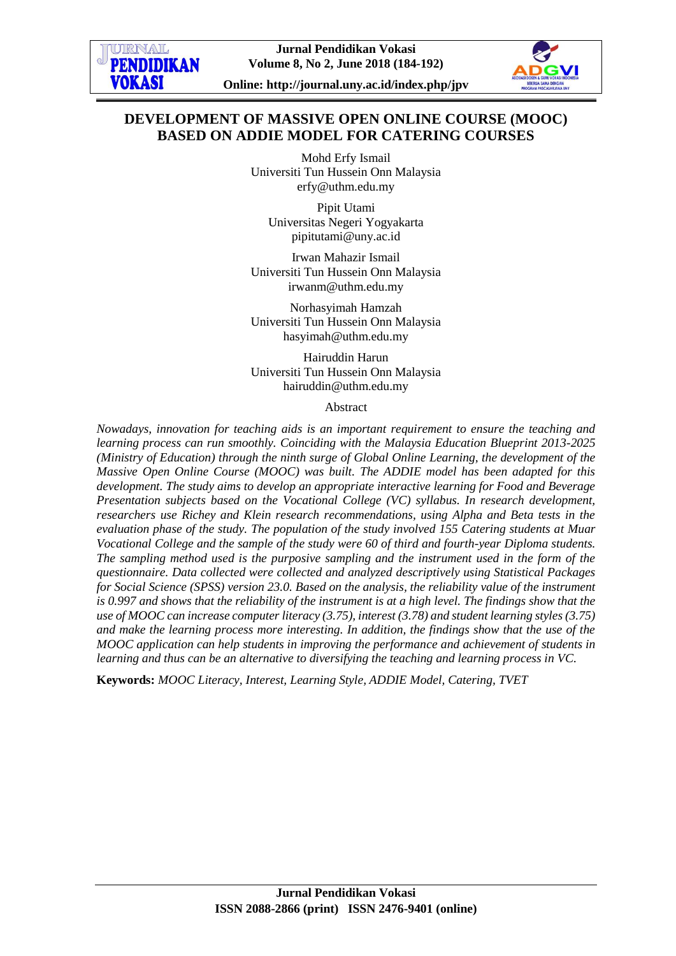# **DEVELOPMENT OF MASSIVE OPEN ONLINE COURSE (MOOC) BASED ON ADDIE MODEL FOR CATERING COURSES**

Mohd Erfy Ismail Universiti Tun Hussein Onn Malaysia erfy@uthm.edu.my

Pipit Utami Universitas Negeri Yogyakarta pipitutami@uny.ac.id

Irwan Mahazir Ismail Universiti Tun Hussein Onn Malaysia irwanm@uthm.edu.my

Norhasyimah Hamzah Universiti Tun Hussein Onn Malaysia hasyimah@uthm.edu.my

Hairuddin Harun Universiti Tun Hussein Onn Malaysia hairuddin@uthm.edu.my

#### Abstract

*Nowadays, innovation for teaching aids is an important requirement to ensure the teaching and learning process can run smoothly. Coinciding with the Malaysia Education Blueprint 2013-2025 (Ministry of Education) through the ninth surge of Global Online Learning, the development of the Massive Open Online Course (MOOC) was built. The ADDIE model has been adapted for this development. The study aims to develop an appropriate interactive learning for Food and Beverage Presentation subjects based on the Vocational College (VC) syllabus. In research development, researchers use Richey and Klein research recommendations, using Alpha and Beta tests in the evaluation phase of the study. The population of the study involved 155 Catering students at Muar Vocational College and the sample of the study were 60 of third and fourth-year Diploma students. The sampling method used is the purposive sampling and the instrument used in the form of the questionnaire. Data collected were collected and analyzed descriptively using Statistical Packages for Social Science (SPSS) version 23.0. Based on the analysis, the reliability value of the instrument is 0.997 and shows that the reliability of the instrument is at a high level. The findings show that the use of MOOC can increase computer literacy (3.75), interest (3.78) and student learning styles (3.75) and make the learning process more interesting. In addition, the findings show that the use of the MOOC application can help students in improving the performance and achievement of students in learning and thus can be an alternative to diversifying the teaching and learning process in VC.*

**Keywords:** *MOOC Literacy, Interest, Learning Style, ADDIE Model, Catering, TVET*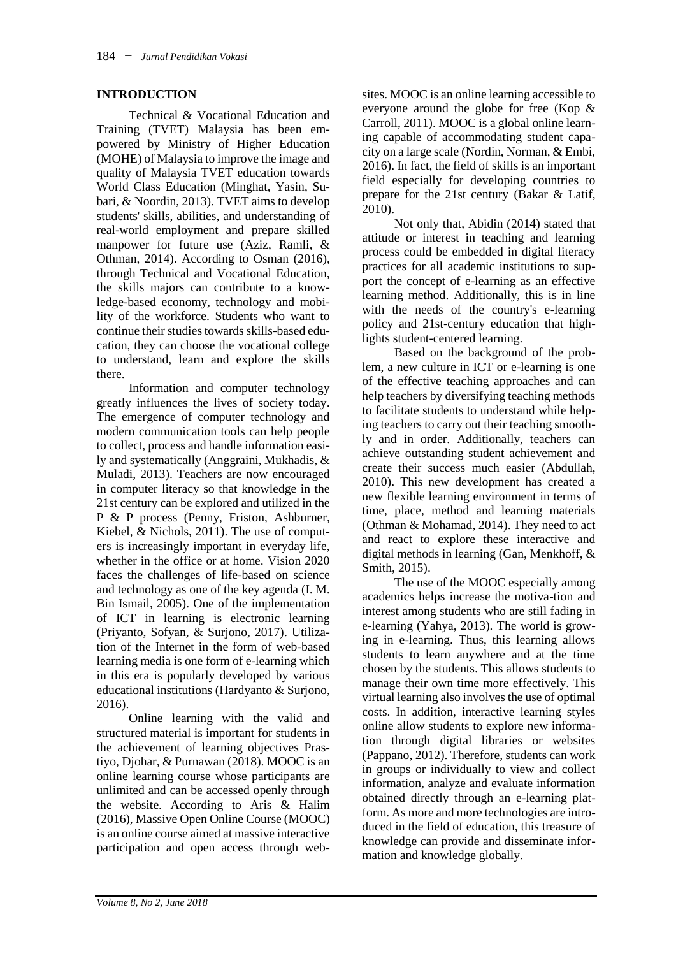## **INTRODUCTION**

Technical & Vocational Education and Training (TVET) Malaysia has been empowered by Ministry of Higher Education (MOHE) of Malaysia to improve the image and quality of Malaysia TVET education towards World Class Education (Minghat, Yasin, Subari, & Noordin, 2013). TVET aims to develop students' skills, abilities, and understanding of real-world employment and prepare skilled manpower for future use (Aziz, Ramli, & Othman, 2014). According to Osman (2016), through Technical and Vocational Education, the skills majors can contribute to a knowledge-based economy, technology and mobility of the workforce. Students who want to continue their studies towards skills-based education, they can choose the vocational college to understand, learn and explore the skills there.

Information and computer technology greatly influences the lives of society today. The emergence of computer technology and modern communication tools can help people to collect, process and handle information easily and systematically (Anggraini, Mukhadis, & Muladi, 2013). Teachers are now encouraged in computer literacy so that knowledge in the 21st century can be explored and utilized in the P & P process (Penny, Friston, Ashburner, Kiebel, & Nichols, 2011). The use of computers is increasingly important in everyday life, whether in the office or at home. Vision 2020 faces the challenges of life-based on science and technology as one of the key agenda (I. M. Bin Ismail, 2005). One of the implementation of ICT in learning is electronic learning (Priyanto, Sofyan, & Surjono, 2017). Utilization of the Internet in the form of web-based learning media is one form of e-learning which in this era is popularly developed by various educational institutions (Hardyanto & Surjono, 2016).

Online learning with the valid and structured material is important for students in the achievement of learning objectives Prastiyo, Djohar, & Purnawan (2018). MOOC is an online learning course whose participants are unlimited and can be accessed openly through the website. According to Aris & Halim (2016), Massive Open Online Course (MOOC) is an online course aimed at massive interactive participation and open access through web-

sites. MOOC is an online learning accessible to everyone around the globe for free (Kop & Carroll, 2011). MOOC is a global online learning capable of accommodating student capacity on a large scale (Nordin, Norman, & Embi, 2016). In fact, the field of skills is an important field especially for developing countries to prepare for the 21st century (Bakar & Latif, 2010).

Not only that, Abidin (2014) stated that attitude or interest in teaching and learning process could be embedded in digital literacy practices for all academic institutions to support the concept of e-learning as an effective learning method. Additionally, this is in line with the needs of the country's e-learning policy and 21st-century education that highlights student-centered learning.

Based on the background of the problem, a new culture in ICT or e-learning is one of the effective teaching approaches and can help teachers by diversifying teaching methods to facilitate students to understand while helping teachers to carry out their teaching smoothly and in order. Additionally, teachers can achieve outstanding student achievement and create their success much easier (Abdullah, 2010). This new development has created a new flexible learning environment in terms of time, place, method and learning materials (Othman & Mohamad, 2014). They need to act and react to explore these interactive and digital methods in learning (Gan, Menkhoff, & Smith, 2015).

The use of the MOOC especially among academics helps increase the motiva-tion and interest among students who are still fading in e-learning (Yahya, 2013). The world is growing in e-learning. Thus, this learning allows students to learn anywhere and at the time chosen by the students. This allows students to manage their own time more effectively. This virtual learning also involves the use of optimal costs. In addition, interactive learning styles online allow students to explore new information through digital libraries or websites (Pappano, 2012). Therefore, students can work in groups or individually to view and collect information, analyze and evaluate information obtained directly through an e-learning platform. As more and more technologies are introduced in the field of education, this treasure of knowledge can provide and disseminate information and knowledge globally.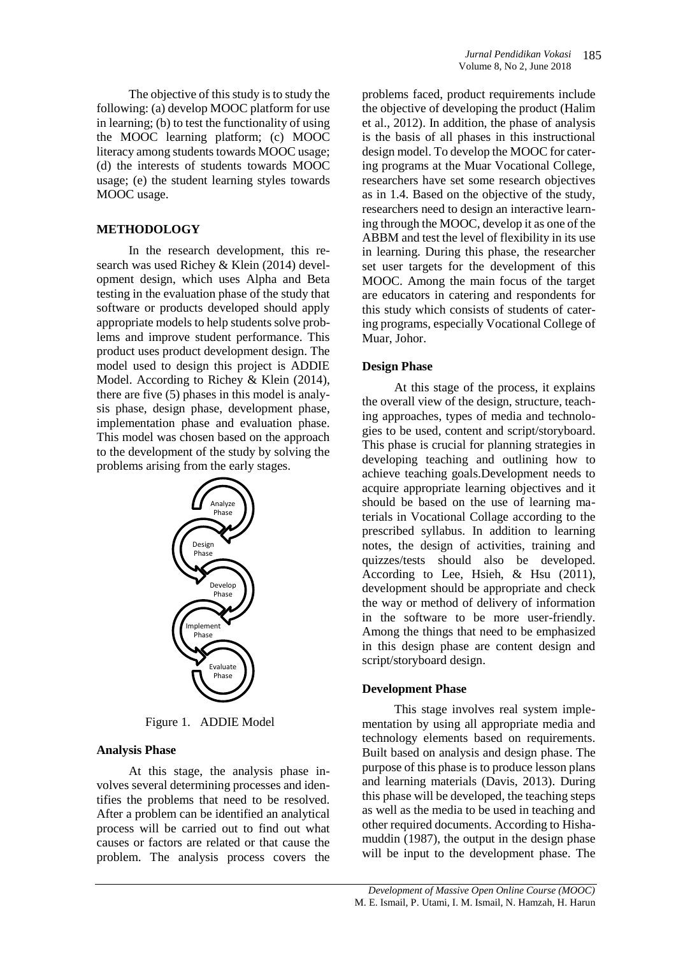The objective of this study is to study the following: (a) develop MOOC platform for use in learning; (b) to test the functionality of using the MOOC learning platform; (c) MOOC literacy among students towards MOOC usage; (d) the interests of students towards MOOC usage; (e) the student learning styles towards MOOC usage.

## **METHODOLOGY**

In the research development, this research was used Richey & Klein (2014) development design, which uses Alpha and Beta testing in the evaluation phase of the study that software or products developed should apply appropriate models to help students solve problems and improve student performance. This product uses product development design. The model used to design this project is ADDIE Model. According to Richey & Klein (2014), there are five (5) phases in this model is analysis phase, design phase, development phase, implementation phase and evaluation phase. This model was chosen based on the approach to the development of the study by solving the problems arising from the early stages.



Figure 1. ADDIE Model

#### **Analysis Phase**

At this stage, the analysis phase involves several determining processes and identifies the problems that need to be resolved. After a problem can be identified an analytical process will be carried out to find out what causes or factors are related or that cause the problem. The analysis process covers the

problems faced, product requirements include the objective of developing the product (Halim et al., 2012). In addition, the phase of analysis is the basis of all phases in this instructional design model. To develop the MOOC for catering programs at the Muar Vocational College, researchers have set some research objectives as in 1.4. Based on the objective of the study, researchers need to design an interactive learning through the MOOC, develop it as one of the ABBM and test the level of flexibility in its use in learning. During this phase, the researcher set user targets for the development of this MOOC. Among the main focus of the target are educators in catering and respondents for this study which consists of students of catering programs, especially Vocational College of Muar, Johor.

## **Design Phase**

At this stage of the process, it explains the overall view of the design, structure, teaching approaches, types of media and technologies to be used, content and script/storyboard. This phase is crucial for planning strategies in developing teaching and outlining how to achieve teaching goals.Development needs to acquire appropriate learning objectives and it should be based on the use of learning materials in Vocational Collage according to the prescribed syllabus. In addition to learning notes, the design of activities, training and quizzes/tests should also be developed. According to Lee, Hsieh, & Hsu (2011), development should be appropriate and check the way or method of delivery of information in the software to be more user-friendly. Among the things that need to be emphasized in this design phase are content design and script/storyboard design.

#### **Development Phase**

This stage involves real system implementation by using all appropriate media and technology elements based on requirements. Built based on analysis and design phase. The purpose of this phase is to produce lesson plans and learning materials (Davis, 2013). During this phase will be developed, the teaching steps as well as the media to be used in teaching and other required documents. According to Hishamuddin (1987), the output in the design phase will be input to the development phase. The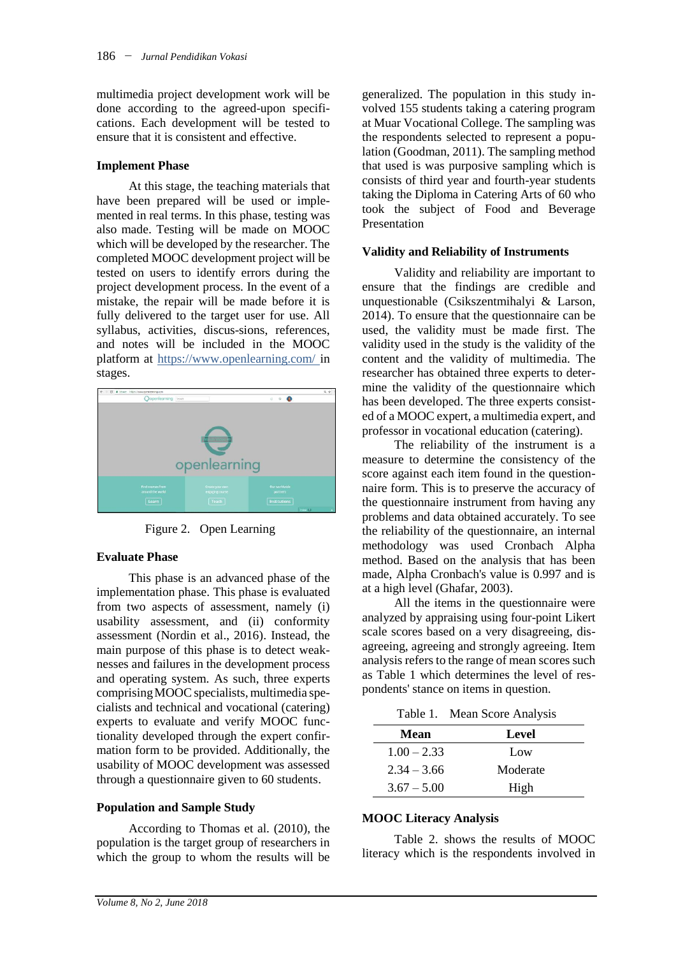multimedia project development work will be done according to the agreed-upon specifications. Each development will be tested to ensure that it is consistent and effective.

#### **Implement Phase**

At this stage, the teaching materials that have been prepared will be used or implemented in real terms. In this phase, testing was also made. Testing will be made on MOOC which will be developed by the researcher. The completed MOOC development project will be tested on users to identify errors during the project development process. In the event of a mistake, the repair will be made before it is fully delivered to the target user for use. All syllabus, activities, discus-sions, references, and notes will be included in the MOOC platform at https://www.openlearning.com/ in stages.



Figure 2. Open Learning

#### **Evaluate Phase**

This phase is an advanced phase of the implementation phase. This phase is evaluated from two aspects of assessment, namely (i) usability assessment, and (ii) conformity assessment (Nordin et al., 2016). Instead, the main purpose of this phase is to detect weaknesses and failures in the development process and operating system. As such, three experts comprisingMOOCspecialists, multimedia specialists and technical and vocational (catering) experts to evaluate and verify MOOC functionality developed through the expert confirmation form to be provided. Additionally, the usability of MOOC development was assessed through a questionnaire given to 60 students.

#### **Population and Sample Study**

According to Thomas et al. (2010), the population is the target group of researchers in which the group to whom the results will be generalized. The population in this study involved 155 students taking a catering program at Muar Vocational College. The sampling was the respondents selected to represent a population (Goodman, 2011). The sampling method that used is was purposive sampling which is consists of third year and fourth-year students taking the Diploma in Catering Arts of 60 who took the subject of Food and Beverage Presentation

#### **Validity and Reliability of Instruments**

Validity and reliability are important to ensure that the findings are credible and unquestionable (Csikszentmihalyi & Larson, 2014). To ensure that the questionnaire can be used, the validity must be made first. The validity used in the study is the validity of the content and the validity of multimedia. The researcher has obtained three experts to determine the validity of the questionnaire which has been developed. The three experts consisted of a MOOC expert, a multimedia expert, and professor in vocational education (catering).

The reliability of the instrument is a measure to determine the consistency of the score against each item found in the questionnaire form. This is to preserve the accuracy of the questionnaire instrument from having any problems and data obtained accurately. To see the reliability of the questionnaire, an internal methodology was used Cronbach Alpha method. Based on the analysis that has been made, Alpha Cronbach's value is 0.997 and is at a high level (Ghafar, 2003).

All the items in the questionnaire were analyzed by appraising using four-point Likert scale scores based on a very disagreeing, disagreeing, agreeing and strongly agreeing. Item analysis refers to the range of mean scores such as Table 1 which determines the level of respondents' stance on items in question.

Table 1. Mean Score Analysis

| Mean          | Level    |
|---------------|----------|
| $1.00 - 2.33$ | Low      |
| $2.34 - 3.66$ | Moderate |
| $3.67 - 5.00$ | High     |

#### **MOOC Literacy Analysis**

Table 2. shows the results of MOOC literacy which is the respondents involved in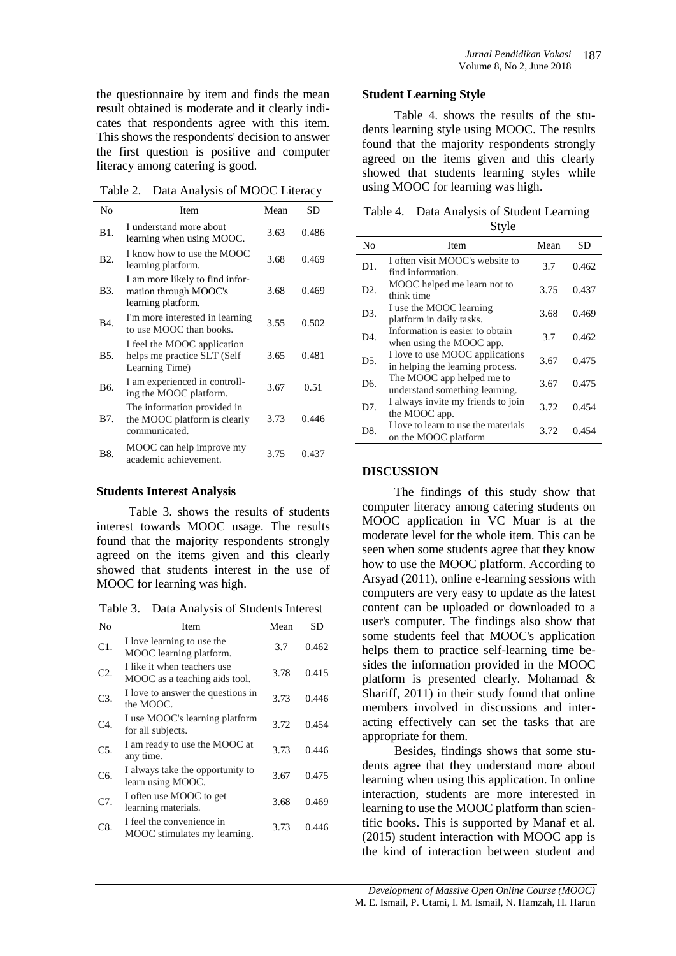the questionnaire by item and finds the mean result obtained is moderate and it clearly indicates that respondents agree with this item. This shows the respondents' decision to answer the first question is positive and computer literacy among catering is good.

Table 2. Data Analysis of MOOC Literacy

| No             | Item                                                                           | Mean | SD    |
|----------------|--------------------------------------------------------------------------------|------|-------|
| B1.            | I understand more about<br>learning when using MOOC.                           | 3.63 | 0.486 |
| B <sub>2</sub> | I know how to use the MOOC<br>learning platform.                               | 3.68 | 0.469 |
| B3.            | I am more likely to find infor-<br>mation through MOOC's<br>learning platform. | 3.68 | 0.469 |
| <b>B4.</b>     | I'm more interested in learning<br>to use MOOC than books.                     | 3.55 | 0.502 |
| B5.            | I feel the MOOC application<br>helps me practice SLT (Self<br>Learning Time)   | 3.65 | 0.481 |
| <b>B6.</b>     | I am experienced in controll-<br>ing the MOOC platform.                        | 3.67 | 0.51  |
| B7.            | The information provided in<br>the MOOC platform is clearly<br>communicated.   | 3.73 | 0.446 |
| B8.            | MOOC can help improve my<br>academic achievement.                              | 3.75 | 0.437 |

#### **Students Interest Analysis**

Table 3. shows the results of students interest towards MOOC usage. The results found that the majority respondents strongly agreed on the items given and this clearly showed that students interest in the use of MOOC for learning was high.

Table 3. Data Analysis of Students Interest

| No               | Item                                                         | Mean | SD    |
|------------------|--------------------------------------------------------------|------|-------|
| C1.              | I love learning to use the<br>MOOC learning platform.        | 3.7  | 0.462 |
| C2.              | I like it when teachers use<br>MOOC as a teaching aids tool. | 3.78 | 0.415 |
| C3.              | I love to answer the questions in<br>the MOOC.               | 3.73 | 0.446 |
| C4               | I use MOOC's learning platform<br>for all subjects.          | 3.72 | 0.454 |
| C5.              | I am ready to use the MOOC at<br>any time.                   | 3.73 | 0.446 |
| C <sub>6</sub> . | I always take the opportunity to<br>learn using MOOC.        | 3.67 | 0.475 |
| C7.              | I often use MOOC to get<br>learning materials.               | 3.68 | 0.469 |
| C8.              | I feel the convenience in<br>MOOC stimulates my learning.    | 3.73 | 0.446 |

#### **Student Learning Style**

Table 4. shows the results of the students learning style using MOOC. The results found that the majority respondents strongly agreed on the items given and this clearly showed that students learning styles while using MOOC for learning was high.

| Table 4. Data Analysis of Student Learning |  |
|--------------------------------------------|--|
| Style                                      |  |

| No               | Item                                                                | Mean | SD    |
|------------------|---------------------------------------------------------------------|------|-------|
| D1.              | I often visit MOOC's website to<br>find information.                | 3.7  | 0.462 |
| D2.              | MOOC helped me learn not to<br>think time                           | 3.75 | 0.437 |
| D3.              | I use the MOOC learning<br>platform in daily tasks.                 | 3.68 | 0.469 |
| $\mathbf{D}4$    | Information is easier to obtain<br>when using the MOOC app.         | 3.7  | 0.462 |
| D <sub>5</sub> . | I love to use MOOC applications<br>in helping the learning process. | 3.67 | 0.475 |
| D6.              | The MOOC app helped me to<br>understand something learning.         | 3.67 | 0.475 |
| D7.              | I always invite my friends to join<br>the MOOC app.                 | 3.72 | 0.454 |
| D8.              | I love to learn to use the materials<br>on the MOOC platform        | 3.72 | 0.454 |

## **DISCUSSION**

The findings of this study show that computer literacy among catering students on MOOC application in VC Muar is at the moderate level for the whole item. This can be seen when some students agree that they know how to use the MOOC platform. According to Arsyad (2011), online e-learning sessions with computers are very easy to update as the latest content can be uploaded or downloaded to a user's computer. The findings also show that some students feel that MOOC's application helps them to practice self-learning time besides the information provided in the MOOC platform is presented clearly. Mohamad & Shariff, 2011) in their study found that online members involved in discussions and interacting effectively can set the tasks that are appropriate for them.

Besides, findings shows that some students agree that they understand more about learning when using this application. In online interaction, students are more interested in learning to use the MOOC platform than scientific books. This is supported by Manaf et al. (2015) student interaction with MOOC app is the kind of interaction between student and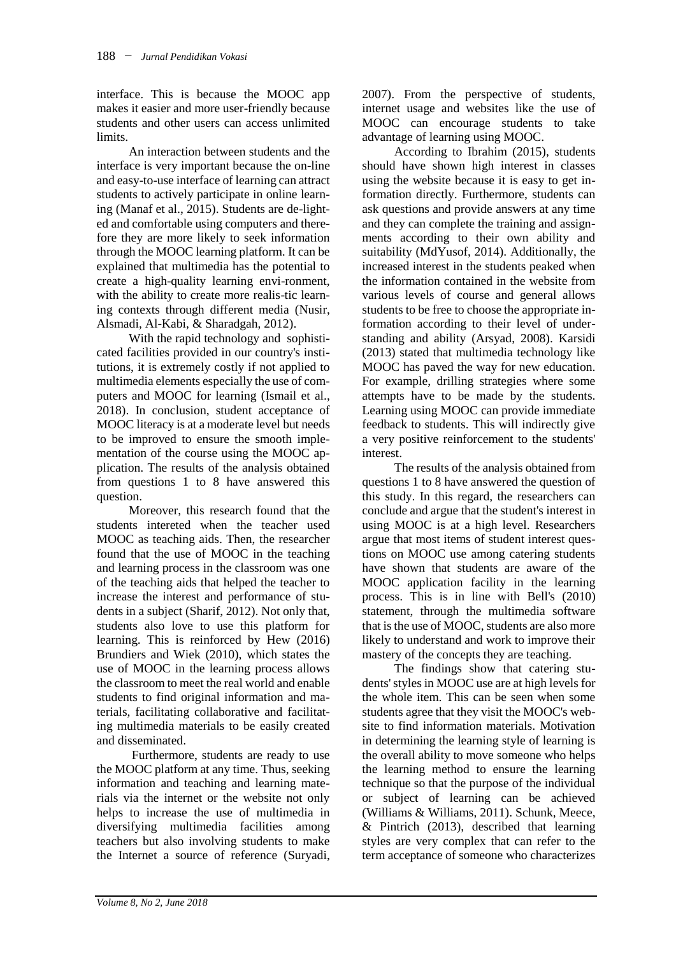interface. This is because the MOOC app makes it easier and more user-friendly because students and other users can access unlimited limits.

An interaction between students and the interface is very important because the on-line and easy-to-use interface of learning can attract students to actively participate in online learning (Manaf et al., 2015). Students are de-lighted and comfortable using computers and therefore they are more likely to seek information through the MOOC learning platform. It can be explained that multimedia has the potential to create a high-quality learning envi-ronment, with the ability to create more realis-tic learning contexts through different media (Nusir, Alsmadi, Al-Kabi, & Sharadgah, 2012).

With the rapid technology and sophisticated facilities provided in our country's institutions, it is extremely costly if not applied to multimedia elements especially the use of computers and MOOC for learning (Ismail et al., 2018). In conclusion, student acceptance of MOOC literacy is at a moderate level but needs to be improved to ensure the smooth implementation of the course using the MOOC application. The results of the analysis obtained from questions 1 to 8 have answered this question.

Moreover, this research found that the students intereted when the teacher used MOOC as teaching aids. Then, the researcher found that the use of MOOC in the teaching and learning process in the classroom was one of the teaching aids that helped the teacher to increase the interest and performance of students in a subject (Sharif, 2012). Not only that, students also love to use this platform for learning. This is reinforced by Hew (2016) Brundiers and Wiek (2010), which states the use of MOOC in the learning process allows the classroom to meet the real world and enable students to find original information and materials, facilitating collaborative and facilitating multimedia materials to be easily created and disseminated.

Furthermore, students are ready to use the MOOC platform at any time. Thus, seeking information and teaching and learning materials via the internet or the website not only helps to increase the use of multimedia in diversifying multimedia facilities among teachers but also involving students to make the Internet a source of reference (Suryadi,

2007). From the perspective of students, internet usage and websites like the use of MOOC can encourage students to take advantage of learning using MOOC.

According to Ibrahim (2015), students should have shown high interest in classes using the website because it is easy to get information directly. Furthermore, students can ask questions and provide answers at any time and they can complete the training and assignments according to their own ability and suitability (MdYusof, 2014). Additionally, the increased interest in the students peaked when the information contained in the website from various levels of course and general allows students to be free to choose the appropriate information according to their level of understanding and ability (Arsyad, 2008). Karsidi (2013) stated that multimedia technology like MOOC has paved the way for new education. For example, drilling strategies where some attempts have to be made by the students. Learning using MOOC can provide immediate feedback to students. This will indirectly give a very positive reinforcement to the students' interest.

The results of the analysis obtained from questions 1 to 8 have answered the question of this study. In this regard, the researchers can conclude and argue that the student's interest in using MOOC is at a high level. Researchers argue that most items of student interest questions on MOOC use among catering students have shown that students are aware of the MOOC application facility in the learning process. This is in line with Bell's (2010) statement, through the multimedia software that is the use of MOOC, students are also more likely to understand and work to improve their mastery of the concepts they are teaching.

The findings show that catering students' styles in MOOC use are at high levels for the whole item. This can be seen when some students agree that they visit the MOOC's website to find information materials. Motivation in determining the learning style of learning is the overall ability to move someone who helps the learning method to ensure the learning technique so that the purpose of the individual or subject of learning can be achieved (Williams & Williams, 2011). Schunk, Meece,  $& Pintrich (2013), described that learning$ styles are very complex that can refer to the term acceptance of someone who characterizes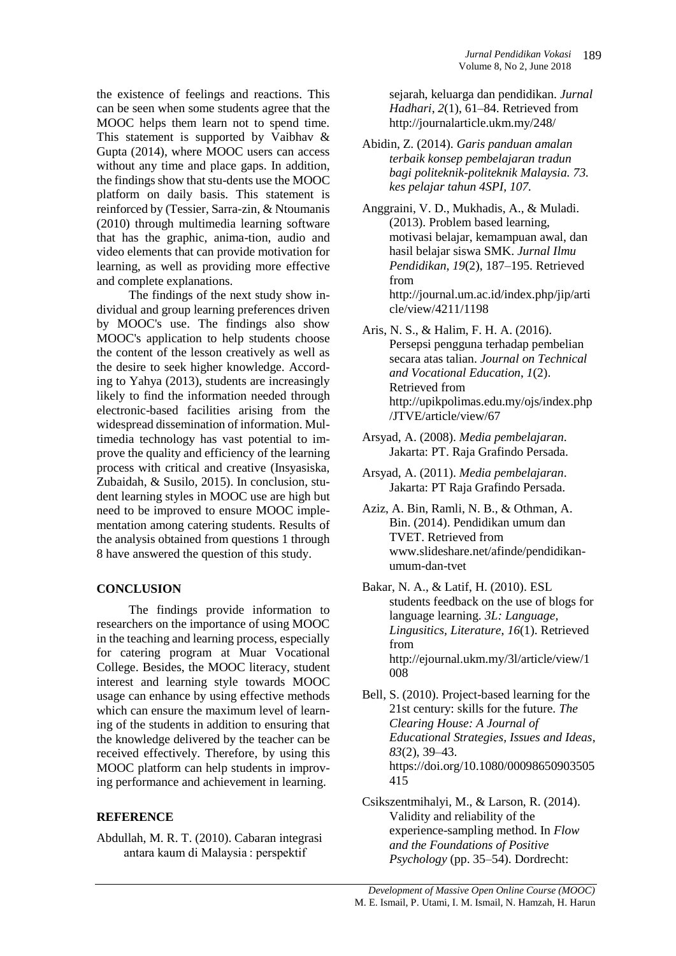the existence of feelings and reactions. This can be seen when some students agree that the MOOC helps them learn not to spend time. This statement is supported by Vaibhav & Gupta (2014), where MOOC users can access without any time and place gaps. In addition, the findings show that stu-dents use the MOOC platform on daily basis. This statement is reinforced by (Tessier, Sarra-zin, & Ntoumanis (2010) through multimedia learning software that has the graphic, anima-tion, audio and video elements that can provide motivation for learning, as well as providing more effective and complete explanations.

The findings of the next study show individual and group learning preferences driven by MOOC's use. The findings also show MOOC's application to help students choose the content of the lesson creatively as well as the desire to seek higher knowledge. According to Yahya (2013), students are increasingly likely to find the information needed through electronic-based facilities arising from the widespread dissemination of information. Multimedia technology has vast potential to improve the quality and efficiency of the learning process with critical and creative (Insyasiska, Zubaidah, & Susilo, 2015). In conclusion, student learning styles in MOOC use are high but need to be improved to ensure MOOC implementation among catering students. Results of the analysis obtained from questions 1 through 8 have answered the question of this study.

#### **CONCLUSION**

The findings provide information to researchers on the importance of using MOOC in the teaching and learning process, especially for catering program at Muar Vocational College. Besides, the MOOC literacy, student interest and learning style towards MOOC usage can enhance by using effective methods which can ensure the maximum level of learning of the students in addition to ensuring that the knowledge delivered by the teacher can be received effectively. Therefore, by using this MOOC platform can help students in improving performance and achievement in learning.

# **REFERENCE**

Abdullah, M. R. T. (2010). Cabaran integrasi antara kaum di Malaysia : perspektif

sejarah, keluarga dan pendidikan. *Jurnal Hadhari*, *2*(1), 61–84. Retrieved from http://journalarticle.ukm.my/248/

- Abidin, Z. (2014). *Garis panduan amalan terbaik konsep pembelajaran tradun bagi politeknik-politeknik Malaysia. 73. kes pelajar tahun 4SPI, 107.*
- Anggraini, V. D., Mukhadis, A., & Muladi. (2013). Problem based learning, motivasi belajar, kemampuan awal, dan hasil belajar siswa SMK. *Jurnal Ilmu Pendidikan*, *19*(2), 187–195. Retrieved from http://journal.um.ac.id/index.php/jip/arti cle/view/4211/1198
- Aris, N. S., & Halim, F. H. A. (2016). Persepsi pengguna terhadap pembelian secara atas talian. *Journal on Technical and Vocational Education*, *1*(2). Retrieved from http://upikpolimas.edu.my/ojs/index.php /JTVE/article/view/67
- Arsyad, A. (2008). *Media pembelajaran*. Jakarta: PT. Raja Grafindo Persada.
- Arsyad, A. (2011). *Media pembelajaran*. Jakarta: PT Raja Grafindo Persada.
- Aziz, A. Bin, Ramli, N. B., & Othman, A. Bin. (2014). Pendidikan umum dan TVET. Retrieved from www.slideshare.net/afinde/pendidikanumum-dan-tvet
- Bakar, N. A., & Latif, H. (2010). ESL students feedback on the use of blogs for language learning. *3L: Language, Lingusitics, Literature*, *16*(1). Retrieved from http://ejournal.ukm.my/3l/article/view/1 008
- Bell, S. (2010). Project-based learning for the 21st century: skills for the future. *The Clearing House: A Journal of Educational Strategies, Issues and Ideas*, *83*(2), 39–43. https://doi.org/10.1080/00098650903505 415
- Csikszentmihalyi, M., & Larson, R. (2014). Validity and reliability of the experience-sampling method. In *Flow and the Foundations of Positive Psychology* (pp. 35–54). Dordrecht: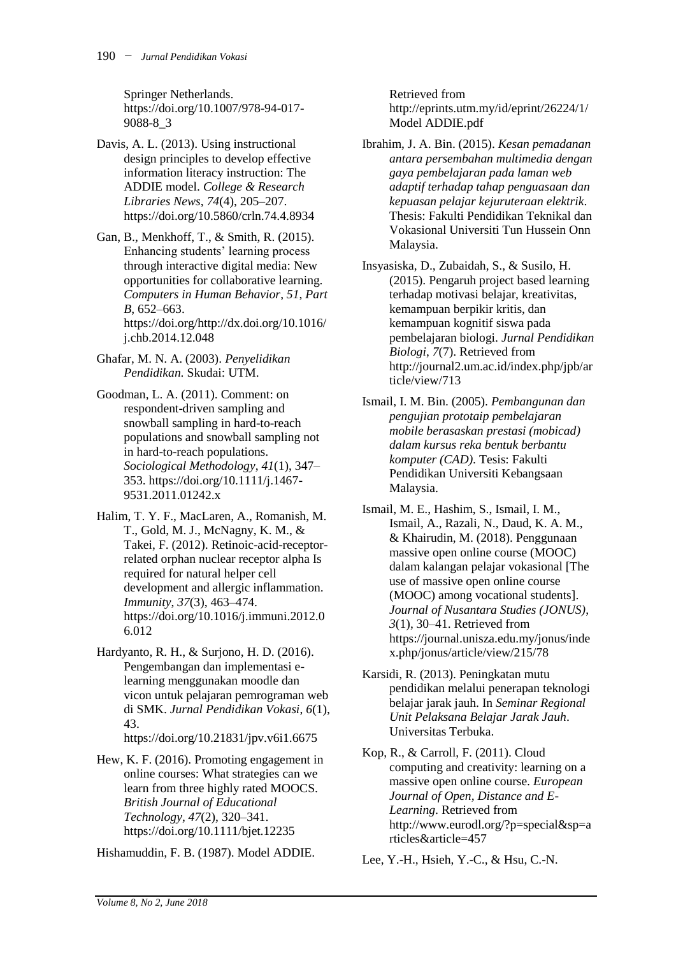Springer Netherlands. https://doi.org/10.1007/978-94-017- 9088-8\_3

Davis, A. L. (2013). Using instructional design principles to develop effective information literacy instruction: The ADDIE model. *College & Research Libraries News*, *74*(4), 205–207. https://doi.org/10.5860/crln.74.4.8934

Gan, B., Menkhoff, T., & Smith, R. (2015). Enhancing students' learning process through interactive digital media: New opportunities for collaborative learning. *Computers in Human Behavior*, *51*, *Part B*, 652–663. https://doi.org/http://dx.doi.org/10.1016/ j.chb.2014.12.048

- Ghafar, M. N. A. (2003). *Penyelidikan Pendidikan*. Skudai: UTM.
- Goodman, L. A. (2011). Comment: on respondent-driven sampling and snowball sampling in hard-to-reach populations and snowball sampling not in hard-to-reach populations. *Sociological Methodology*, *41*(1), 347– 353. https://doi.org/10.1111/j.1467- 9531.2011.01242.x
- Halim, T. Y. F., MacLaren, A., Romanish, M. T., Gold, M. J., McNagny, K. M., & Takei, F. (2012). Retinoic-acid-receptorrelated orphan nuclear receptor alpha Is required for natural helper cell development and allergic inflammation. *Immunity*, *37*(3), 463–474. https://doi.org/10.1016/j.immuni.2012.0 6.012
- Hardyanto, R. H., & Surjono, H. D. (2016). Pengembangan dan implementasi elearning menggunakan moodle dan vicon untuk pelajaran pemrograman web di SMK. *Jurnal Pendidikan Vokasi*, *6*(1), 43.

https://doi.org/10.21831/jpv.v6i1.6675

Hew, K. F. (2016). Promoting engagement in online courses: What strategies can we learn from three highly rated MOOCS. *British Journal of Educational Technology*, *47*(2), 320–341. https://doi.org/10.1111/bjet.12235

Hishamuddin, F. B. (1987). Model ADDIE.

Retrieved from http://eprints.utm.my/id/eprint/26224/1/ Model ADDIE.pdf

- Ibrahim, J. A. Bin. (2015). *Kesan pemadanan antara persembahan multimedia dengan gaya pembelajaran pada laman web adaptif terhadap tahap penguasaan dan kepuasan pelajar kejuruteraan elektrik*. Thesis: Fakulti Pendidikan Teknikal dan Vokasional Universiti Tun Hussein Onn Malaysia.
- Insyasiska, D., Zubaidah, S., & Susilo, H. (2015). Pengaruh project based learning terhadap motivasi belajar, kreativitas, kemampuan berpikir kritis, dan kemampuan kognitif siswa pada pembelajaran biologi. *Jurnal Pendidikan Biologi*, *7*(7). Retrieved from http://journal2.um.ac.id/index.php/jpb/ar ticle/view/713
- Ismail, I. M. Bin. (2005). *Pembangunan dan pengujian prototaip pembelajaran mobile berasaskan prestasi (mobicad) dalam kursus reka bentuk berbantu komputer (CAD)*. Tesis: Fakulti Pendidikan Universiti Kebangsaan Malaysia.
- Ismail, M. E., Hashim, S., Ismail, I. M., Ismail, A., Razali, N., Daud, K. A. M., & Khairudin, M. (2018). Penggunaan massive open online course (MOOC) dalam kalangan pelajar vokasional [The use of massive open online course (MOOC) among vocational students]. *Journal of Nusantara Studies (JONUS)*, *3*(1), 30–41. Retrieved from https://journal.unisza.edu.my/jonus/inde x.php/jonus/article/view/215/78
- Karsidi, R. (2013). Peningkatan mutu pendidikan melalui penerapan teknologi belajar jarak jauh. In *Seminar Regional Unit Pelaksana Belajar Jarak Jauh*. Universitas Terbuka.
- Kop, R., & Carroll, F. (2011). Cloud computing and creativity: learning on a massive open online course. *European Journal of Open, Distance and E-Learning*. Retrieved from http://www.eurodl.org/?p=special&sp=a rticles&article=457

Lee, Y.-H., Hsieh, Y.-C., & Hsu, C.-N.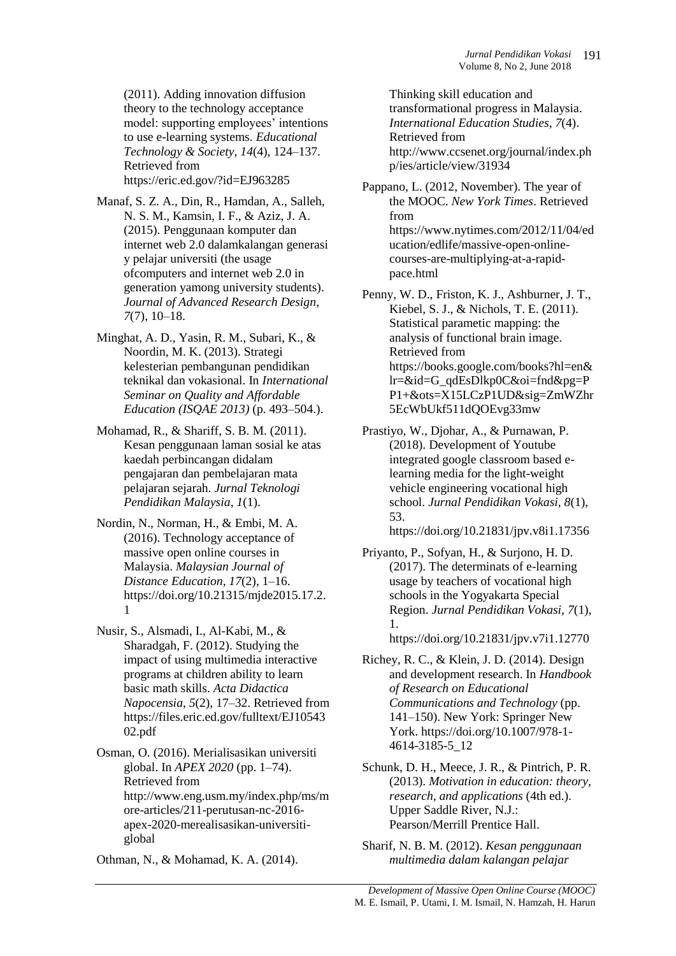(2011). Adding innovation diffusion theory to the technology acceptance model: supporting employees' intentions to use e-learning systems. *Educational Technology & Society*, *14*(4), 124–137. Retrieved from https://eric.ed.gov/?id=EJ963285

- Manaf, S. Z. A., Din, R., Hamdan, A., Salleh, N. S. M., Kamsin, I. F., & Aziz, J. A. (2015). Penggunaan komputer dan internet web 2.0 dalamkalangan generasi y pelajar universiti (the usage ofcomputers and internet web 2.0 in generation yamong university students). *Journal of Advanced Research Design*, *7*(7), 10–18.
- Minghat, A. D., Yasin, R. M., Subari, K., & Noordin, M. K. (2013). Strategi kelesterian pembangunan pendidikan teknikal dan vokasional. In *International Seminar on Quality and Affordable Education (ISQAE 2013)* (p. 493–504.).

Mohamad, R., & Shariff, S. B. M. (2011). Kesan penggunaan laman sosial ke atas kaedah perbincangan didalam pengajaran dan pembelajaran mata pelajaran sejarah. *Jurnal Teknologi Pendidikan Malaysia*, *1*(1).

Nordin, N., Norman, H., & Embi, M. A. (2016). Technology acceptance of massive open online courses in Malaysia. *Malaysian Journal of Distance Education*, *17*(2), 1–16. https://doi.org/10.21315/mjde2015.17.2. 1

Nusir, S., Alsmadi, I., Al-Kabi, M., & Sharadgah, F. (2012). Studying the impact of using multimedia interactive programs at children ability to learn basic math skills. *Acta Didactica Napocensia*, *5*(2), 17–32. Retrieved from https://files.eric.ed.gov/fulltext/EJ10543 02.pdf

Osman, O. (2016). Merialisasikan universiti global. In *APEX 2020* (pp. 1–74). Retrieved from http://www.eng.usm.my/index.php/ms/m ore-articles/211-perutusan-nc-2016 apex-2020-merealisasikan-universitiglobal

Othman, N., & Mohamad, K. A. (2014).

Thinking skill education and transformational progress in Malaysia. *International Education Studies*, *7*(4). Retrieved from http://www.ccsenet.org/journal/index.ph p/ies/article/view/31934

Pappano, L. (2012, November). The year of the MOOC. *New York Times*. Retrieved from https://www.nytimes.com/2012/11/04/ed ucation/edlife/massive-open-onlinecourses-are-multiplying-at-a-rapidpace.html

Penny, W. D., Friston, K. J., Ashburner, J. T., Kiebel, S. J., & Nichols, T. E. (2011). Statistical parametic mapping: the analysis of functional brain image. Retrieved from https://books.google.com/books?hl=en& lr=&id=G\_qdEsDlkp0C&oi=fnd&pg=P P1+&ots=X15LCzP1UD&sig=ZmWZhr 5EcWbUkf511dQOEvg33mw

Prastiyo, W., Djohar, A., & Purnawan, P. (2018). Development of Youtube integrated google classroom based elearning media for the light-weight vehicle engineering vocational high school. *Jurnal Pendidikan Vokasi*, *8*(1), 53.

https://doi.org/10.21831/jpv.v8i1.17356

Priyanto, P., Sofyan, H., & Surjono, H. D. (2017). The determinats of e-learning usage by teachers of vocational high schools in the Yogyakarta Special Region. *Jurnal Pendidikan Vokasi*, *7*(1), 1.

https://doi.org/10.21831/jpv.v7i1.12770

- Richey, R. C., & Klein, J. D. (2014). Design and development research. In *Handbook of Research on Educational Communications and Technology* (pp. 141–150). New York: Springer New York. https://doi.org/10.1007/978-1- 4614-3185-5\_12
- Schunk, D. H., Meece, J. R., & Pintrich, P. R. (2013). *Motivation in education: theory, research, and applications* (4th ed.). Upper Saddle River, N.J.: Pearson/Merrill Prentice Hall.

Sharif, N. B. M. (2012). *Kesan penggunaan multimedia dalam kalangan pelajar*